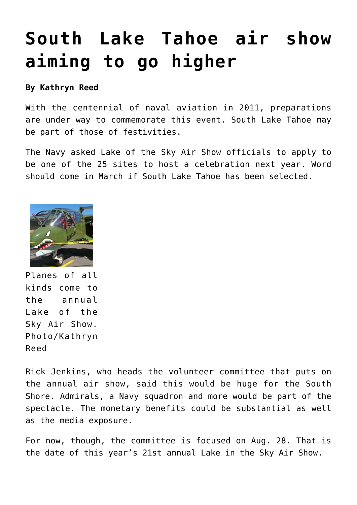## **[South Lake Tahoe air show](https://www.laketahoenews.net/2010/02/south-lake-tahoe-air-show-aiming-high/) [aiming to go higher](https://www.laketahoenews.net/2010/02/south-lake-tahoe-air-show-aiming-high/)**

## **By Kathryn Reed**

With the centennial of naval aviation in 2011, preparations are under way to commemorate this event. South Lake Tahoe may be part of those of festivities.

The Navy asked Lake of the Sky Air Show officials to apply to be one of the 25 sites to host a celebration next year. Word should come in March if South Lake Tahoe has been selected.



Planes of all kinds come to the annual Lake of the Sky Air Show. Photo/Kathryn Reed

Rick Jenkins, who heads the volunteer committee that puts on the annual air show, said this would be huge for the South Shore. Admirals, a Navy squadron and more would be part of the spectacle. The monetary benefits could be substantial as well as the media exposure.

For now, though, the committee is focused on Aug. 28. That is the date of this year's 21st annual Lake in the Sky Air Show.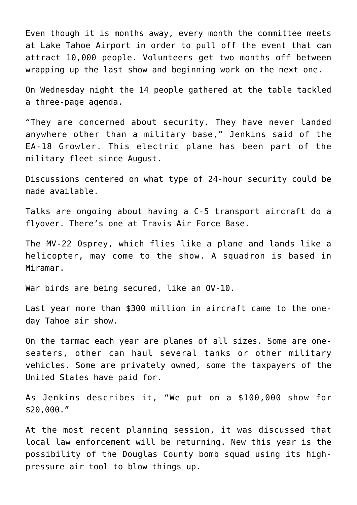Even though it is months away, every month the committee meets at Lake Tahoe Airport in order to pull off the event that can attract 10,000 people. Volunteers get two months off between wrapping up the last show and beginning work on the next one.

On Wednesday night the 14 people gathered at the table tackled a three-page agenda.

"They are concerned about security. They have never landed anywhere other than a military base," Jenkins said of the EA-18 Growler. This electric plane has been part of the military fleet since August.

Discussions centered on what type of 24-hour security could be made available.

Talks are ongoing about having a C-5 transport aircraft do a flyover. There's one at Travis Air Force Base.

The MV-22 Osprey, which flies like a plane and lands like a helicopter, may come to the show. A squadron is based in Miramar.

War birds are being secured, like an OV-10.

Last year more than \$300 million in aircraft came to the oneday Tahoe air show.

On the tarmac each year are planes of all sizes. Some are oneseaters, other can haul several tanks or other military vehicles. Some are privately owned, some the taxpayers of the United States have paid for.

As Jenkins describes it, "We put on a \$100,000 show for \$20,000."

At the most recent planning session, it was discussed that local law enforcement will be returning. New this year is the possibility of the Douglas County bomb squad using its highpressure air tool to blow things up.